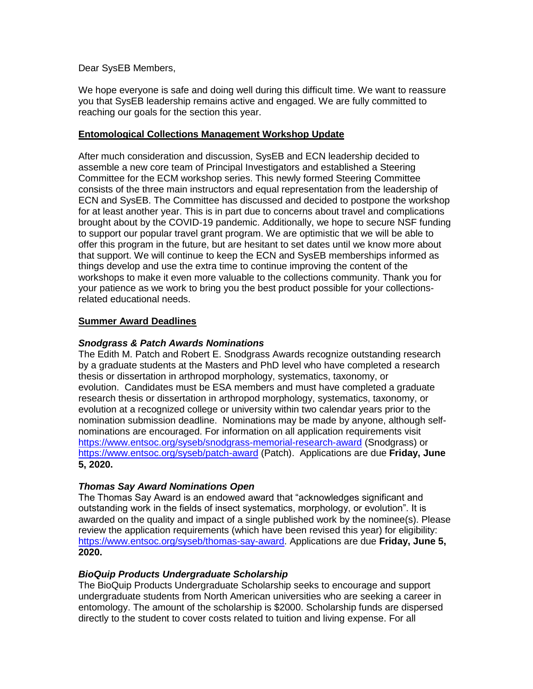Dear SysEB Members,

We hope everyone is safe and doing well during this difficult time. We want to reassure you that SysEB leadership remains active and engaged. We are fully committed to reaching our goals for the section this year.

## **Entomological Collections Management Workshop Update**

After much consideration and discussion, SysEB and ECN leadership decided to assemble a new core team of Principal Investigators and established a Steering Committee for the ECM workshop series. This newly formed Steering Committee consists of the three main instructors and equal representation from the leadership of ECN and SysEB. The Committee has discussed and decided to postpone the workshop for at least another year. This is in part due to concerns about travel and complications brought about by the COVID-19 pandemic. Additionally, we hope to secure NSF funding to support our popular travel grant program. We are optimistic that we will be able to offer this program in the future, but are hesitant to set dates until we know more about that support. We will continue to keep the ECN and SysEB memberships informed as things develop and use the extra time to continue improving the content of the workshops to make it even more valuable to the collections community. Thank you for your patience as we work to bring you the best product possible for your collectionsrelated educational needs.

## **Summer Award Deadlines**

### *Snodgrass & Patch Awards Nominations*

The Edith M. Patch and Robert E. Snodgrass Awards recognize outstanding research by a graduate students at the Masters and PhD level who have completed a research thesis or dissertation in arthropod morphology, systematics, taxonomy, or evolution. Candidates must be ESA members and must have completed a graduate research thesis or dissertation in arthropod morphology, systematics, taxonomy, or evolution at a recognized college or university within two calendar years prior to the nomination submission deadline. Nominations may be made by anyone, although selfnominations are encouraged. For information on all application requirements visit [https://www.entsoc.org/syseb/snodgrass-memorial-research-award](https://nam02.safelinks.protection.outlook.com/?url=https%3A%2F%2Furldefense.proofpoint.com%2Fv2%2Furl%3Fu%3Dhttps-3A__www.entsoc.org_syseb_snodgrass-2Dmemorial-2Dresearch-2Daward%26d%3DDwMFAg%26c%3DCu5g146wZdoqVuKpTNsYHeFX_rg6kWhlkLF8Eft-wwo%26r%3D-lUMCZ4RK28H4qvcd3vmEBuyVJHHG0OpDzFenR9wX-A%26m%3DRoriKOH8QBJg8Z-GpN1xUhc0tzJHZVi8L-B_B7QlZPA%26s%3DDLlNuyOUC-dC-vSwDyz4BGpSvXDCkY84ivzYtqWyU5E%26e%3D&data=02%7C01%7CShockleyF%40SI.EDU%7Cc65aee3651a945ab653808d6de34d5cc%7C989b5e2a14e44efe93b78cdd5fc5d11c%7C1%7C0%7C636940715863457020&sdata=xkYwyPlTNnZp5pjPNe76YLntcbBxwS2r7pwXOM097%2BY%3D&reserved=0) (Snodgrass) or [https://www.entsoc.org/syseb/patch-award](https://nam02.safelinks.protection.outlook.com/?url=https%3A%2F%2Furldefense.proofpoint.com%2Fv2%2Furl%3Fu%3Dhttps-3A__www.entsoc.org_syseb_patch-2Daward%26d%3DDwMFAg%26c%3DCu5g146wZdoqVuKpTNsYHeFX_rg6kWhlkLF8Eft-wwo%26r%3D-lUMCZ4RK28H4qvcd3vmEBuyVJHHG0OpDzFenR9wX-A%26m%3DRoriKOH8QBJg8Z-GpN1xUhc0tzJHZVi8L-B_B7QlZPA%26s%3DOntrOwv_q3FIH7ewNLfz3JAX0t6vIHJVSjRJkT14tSw%26e%3D&data=02%7C01%7CShockleyF%40SI.EDU%7Cc65aee3651a945ab653808d6de34d5cc%7C989b5e2a14e44efe93b78cdd5fc5d11c%7C1%7C0%7C636940715863467028&sdata=XG1B3m4%2FFvHOCkCpwHGyR%2B5ypFJ%2BDqQi8e44iSBlqDo%3D&reserved=0) (Patch). Applications are due **Friday, June 5, 2020.**

## *Thomas Say Award Nominations Open*

The Thomas Say Award is an endowed award that "acknowledges significant and outstanding work in the fields of insect systematics, morphology, or evolution". It is awarded on the quality and impact of a single published work by the nominee(s). Please review the application requirements (which have been revised this year) for eligibility: [https://www.entsoc.org/syseb/thomas-say-award.](https://nam02.safelinks.protection.outlook.com/?url=https%3A%2F%2Furldefense.proofpoint.com%2Fv2%2Furl%3Fu%3Dhttps-3A__www.entsoc.org_syseb_thomas-2Dsay-2Daward%26d%3DDwMFAg%26c%3DCu5g146wZdoqVuKpTNsYHeFX_rg6kWhlkLF8Eft-wwo%26r%3D-lUMCZ4RK28H4qvcd3vmEBuyVJHHG0OpDzFenR9wX-A%26m%3DRoriKOH8QBJg8Z-GpN1xUhc0tzJHZVi8L-B_B7QlZPA%26s%3DszNhsciAbJQ-Cq7lh_RjBfzfLuLNzkG-GoEM-S8ZqGE%26e%3D&data=02%7C01%7CShockleyF%40SI.EDU%7Cc65aee3651a945ab653808d6de34d5cc%7C989b5e2a14e44efe93b78cdd5fc5d11c%7C1%7C0%7C636940715863477037&sdata=g1mwXkHWoM9QdfNXmQNBZe3z%2BzcFzX5EeXEelmd71dw%3D&reserved=0) Applications are due **Friday, June 5, 2020.**

## *BioQuip Products Undergraduate Scholarship*

The BioQuip Products Undergraduate Scholarship seeks to encourage and support undergraduate students from North American universities who are seeking a career in entomology. The amount of the scholarship is \$2000. Scholarship funds are dispersed directly to the student to cover costs related to tuition and living expense. For all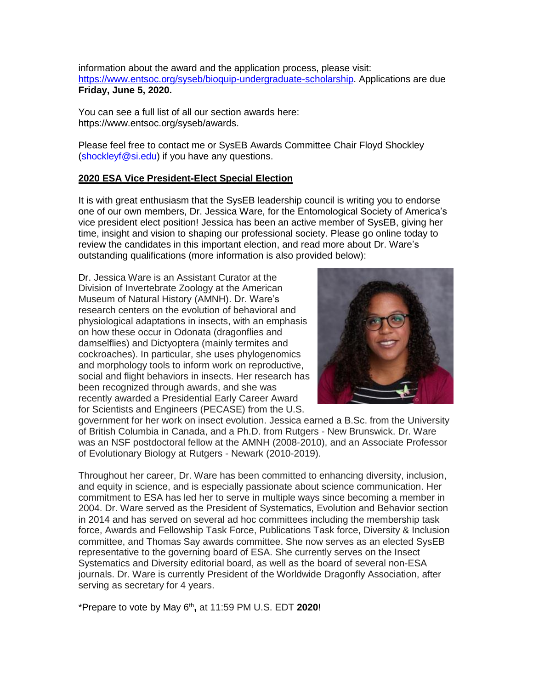information about the award and the application process, please visit: [https://www.entsoc.org/syseb/bioquip-undergraduate-scholarship.](https://nam02.safelinks.protection.outlook.com/?url=https%3A%2F%2Furldefense.proofpoint.com%2Fv2%2Furl%3Fu%3Dhttps-3A__www.entsoc.org_syseb_bioquip-2Dundergraduate-2Dscholarship%26d%3DDwMFAg%26c%3DCu5g146wZdoqVuKpTNsYHeFX_rg6kWhlkLF8Eft-wwo%26r%3D-lUMCZ4RK28H4qvcd3vmEBuyVJHHG0OpDzFenR9wX-A%26m%3DRoriKOH8QBJg8Z-GpN1xUhc0tzJHZVi8L-B_B7QlZPA%26s%3DpwAyGthBIAt4hVjyPw4_riHVbB7F-9G49039tpBzDjY%26e%3D&data=02%7C01%7CShockleyF%40SI.EDU%7Cc65aee3651a945ab653808d6de34d5cc%7C989b5e2a14e44efe93b78cdd5fc5d11c%7C1%7C0%7C636940715863487045&sdata=Su%2B%2FXx68Fy0o%2Brm0rU%2Fu8Zht0k0zjXPOdFtrhOPt7NU%3D&reserved=0) Applications are due **Friday, June 5, 2020.**

You can see a full list of all our section awards here: [https://www.entsoc.org/syseb/awards.](https://www.entsoc.org/syseb/awards)

Please feel free to contact me or SysEB Awards Committee Chair Floyd Shockley [\(shockleyf@si.edu\)](mailto:shockleyf@si.edu) if you have any questions.

## **2020 ESA Vice President-Elect Special Election**

It is with great enthusiasm that the SysEB leadership council is writing you to endorse one of our own members, Dr. Jessica Ware, for the Entomological Society of America's vice president elect position! Jessica has been an active member of SysEB, giving her time, insight and vision to shaping our professional society. Please go online today to review the candidates in this important election, and read more about Dr. Ware's outstanding qualifications (more information is also provided below):

Dr. Jessica Ware is an Assistant Curator at the Division of Invertebrate Zoology at the American Museum of Natural History (AMNH). Dr. Ware's research centers on the evolution of behavioral and physiological adaptations in insects, with an emphasis on how these occur in Odonata (dragonflies and damselflies) and Dictyoptera (mainly termites and cockroaches). In particular, she uses phylogenomics and morphology tools to inform work on reproductive, social and flight behaviors in insects. Her research has been recognized through awards, and she was recently awarded a Presidential Early Career Award for Scientists and Engineers (PECASE) from the U.S.



government for her work on insect evolution. Jessica earned a B.Sc. from the University of British Columbia in Canada, and a Ph.D. from Rutgers - New Brunswick. Dr. Ware was an NSF postdoctoral fellow at the AMNH (2008-2010), and an Associate Professor of Evolutionary Biology at Rutgers - Newark (2010-2019).

Throughout her career, Dr. Ware has been committed to enhancing diversity, inclusion, and equity in science, and is especially passionate about science communication. Her commitment to ESA has led her to serve in multiple ways since becoming a member in 2004. Dr. Ware served as the President of Systematics, Evolution and Behavior section in 2014 and has served on several ad hoc committees including the membership task force, Awards and Fellowship Task Force, Publications Task force, Diversity & Inclusion committee, and Thomas Say awards committee. She now serves as an elected SysEB representative to the governing board of ESA. She currently serves on the Insect Systematics and Diversity editorial board, as well as the board of several non-ESA journals. Dr. Ware is currently President of the Worldwide Dragonfly Association, after serving as secretary for 4 years.

\*Prepare to vote by May 6th **,** at 11:59 PM U.S. EDT **2020**!